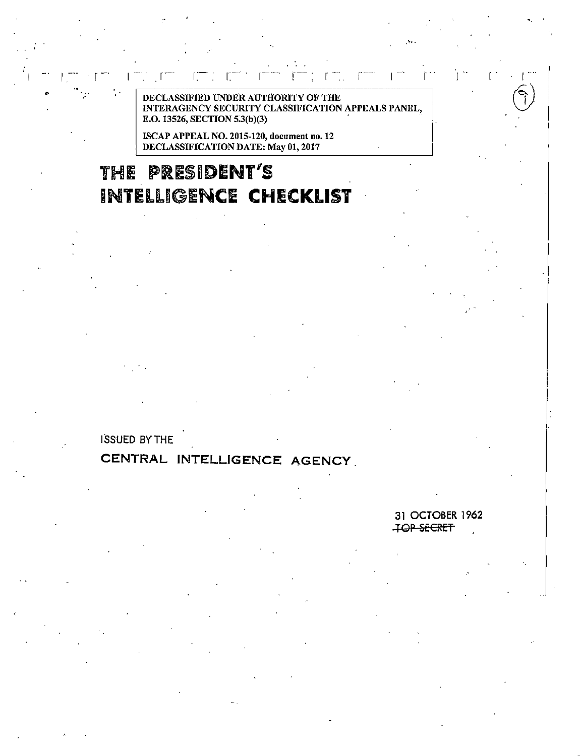**AUTHORITY OF THE** DE SIEIEN INNER **CLASSIFICATION APPEALS PANEL, INTER** E.O. 13526, SECTION 5.3(b)(3)

ISCAP APPEAL NO. 2015-120, document no. 12 DECLASSIFICATION DATE: May 01, 2017

# THE PRESIDENT'S **INTELLIGENCE CHECKLIST**

**ISSUED BY THE** 

## CENTRAL INTELLIGENCE AGENCY

31 OCTOBER 1962 TOP SECRET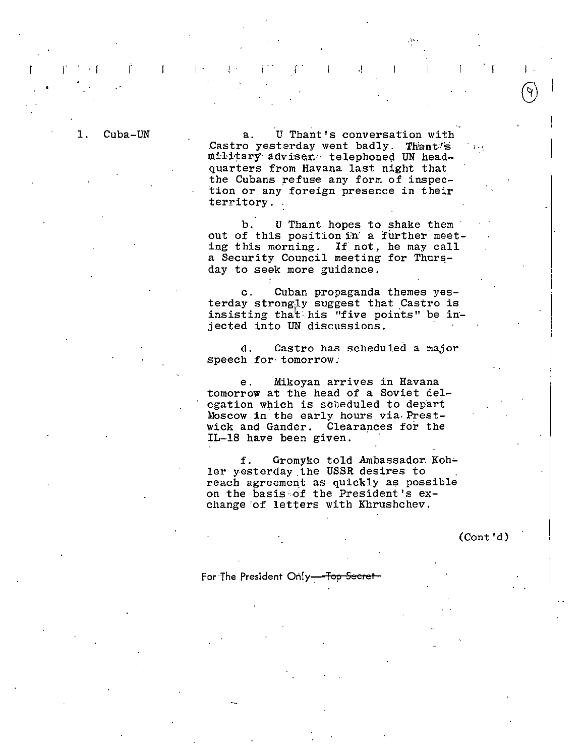1. Cuba-UN

T

a. U Thant's conversation with Castro yesterday went badly. Thant's military adviser. telephoned UN headquarters from Havana last night that the Cubans refuse any form of inspection or any foreign presence in their territory.

I . .1 . .1

b. U Thant hopes to shake them out of this position in' a further meeting this morning. If not, he may call a Security Council meeting for Thursday to seek more guidance.

c. Cuban propaganda themes yesterday strong.ly suggest that Castro is insisting that his "five points" be injected into UN discussions.

d. Castro has scheduled a major speech for tomorrow.

e. Mikoyan arrives in Havana tomorrow at the head of a Soviet delegation which is scheduled to depart Moscow in the early hours via.Prestwick and Gander. Clearances for the IL-18 have been given.

f. Gromyko told Ambassador Koh-<br>ler yesterday the USSR desires to reach agreement as quickly as possible on the basis of the President's  $ex$ change of letters with Khrushchev.

(Cont'd)

·'.

 $\| \cdot \|$ 

For The President Only <del>. Top Secret</del>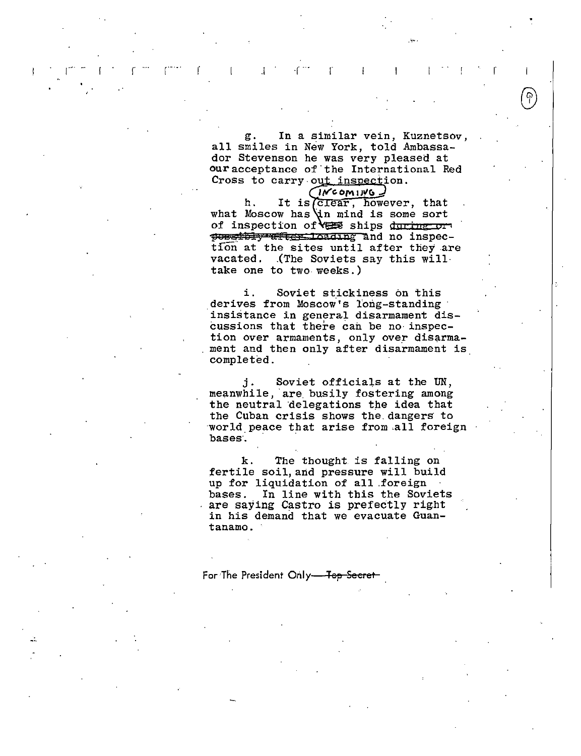g. In a similar vein, Kuznetsov, all smiles in New York, told Ambassador Stevenson he was very pleased at our acceptance of· the International Red Cross to carry out inspection.

 $r \equiv r \pmod{r}$  . In a set of  $r$ 

·""·

 $N$ coming h. It is *crear*, however, that what Moscow has in mind is some sort of inspection of **VER** ships during or possibly afferminating and no inspection at the sites until after they are vacated. .(The Soviets say this will· take one to two weeks.)

i. Soviet stickiness on this derives from Moscow's long-standing insistance in general disarmament discussions that there can be no· inspection over armaments, only over disarmament and then only after disarmament is completed.

j. Soviet officials at the UN, j. Soviet officials at the UN,<br>meanwhile, are busily fostering among the neutral delegations the idea that the Cuban crisis shows the. dangers· to world peace that arise from all foreign bases.

k. The thought is falling on fertile soil, and pressure will build up for liquidation of all foreign<br>bases. In line with this the Sovi In line with this the Soviets are saying Castro is prefectly right in his demand that we evacuate Guantanamo.

For The President Only-Top Secret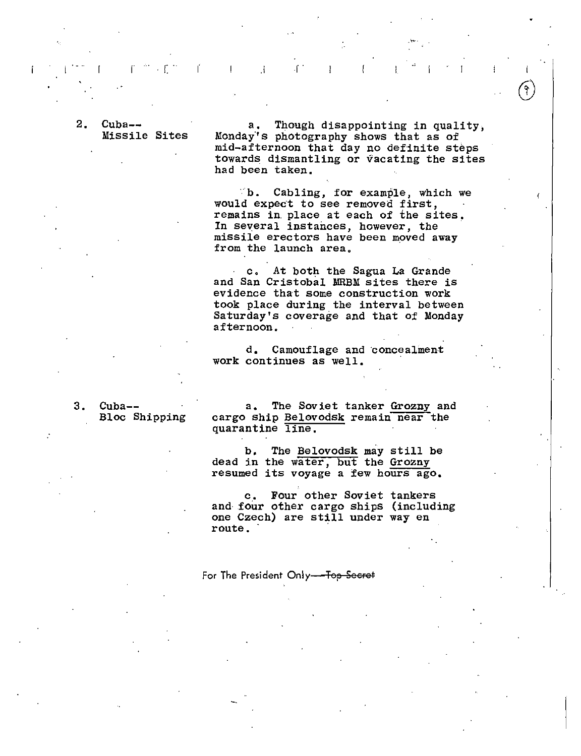$2.$  Cuba--Missile Sites

 $r$  . If  $r$  is a set of  $r$ 

a. Though disappointing in quality, Monday's photography shows that as of mid-afternoon that day no deftnite steps towards dismantling or vacating the sites had been taken.

 $\mathbf{f}^{\mathbf{a}}$ 

 $\mathbf{I}$ 

 $\circ$ b. Cabling, for example, which we would expect to see removed first, remains in place at each of the sites.<br>In several instances, however, the missile erectors have been moved away from the launch area.

c. At both the Sagua La Grande and San Cristobal MRBM sites there is evidence that some construction work took place during the interval between Saturday's coverage and that of Monday afternoon.

d. Camouflage and concealment work continues as well.

 $3.$   $Cuba--$ Bloc Shipping

a. The Soviet tanker Grozny and cargo ship Belovodsk remain near the quarantine line.

b, The Belovodsk may still be dead in the water, but the Grozny resumed its voyage a few hours ago.

c. Four other Soviet tankers and· four other cargo ships (including one Czech) are still under way en route.

For The President Only-<del>Top Secret</del>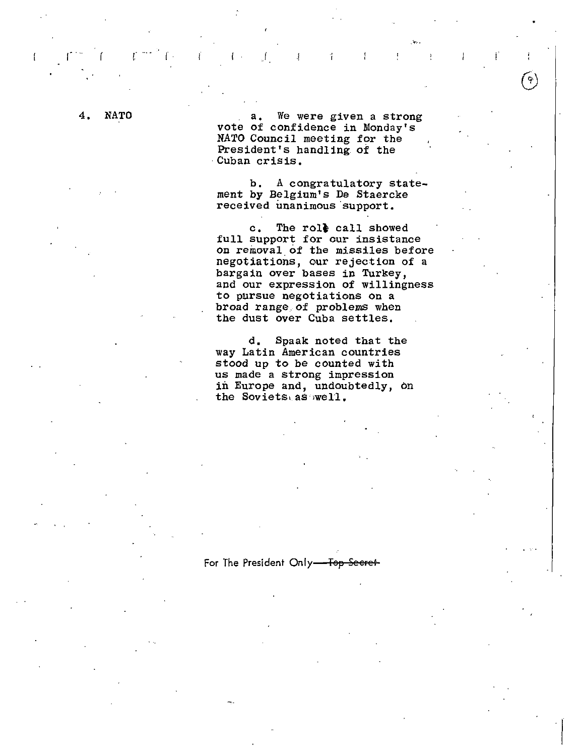#### **NATO** 4.

a. We were given a strong vote of confidence in Monday's NATO Council meeting for the President's handling of the Cuban crisis.

 $\bar{J}$ 

A congratulatory stateb. ment by Belgium's De Staercke received unanimous support.

The role call showed  $\mathbf{c}$ . full support for our insistance on removal of the missiles before negotiations, our rejection of a bargain over bases in Turkey, and our expression of willingness to pursue negotiations on a broad range of problems when the dust over Cuba settles.

Spaak noted that the d. way Latin American countries stood up to be counted with us made a strong impression in Europe and, undoubtedly, on the Soviets as well.

For The President Only-Top Secret-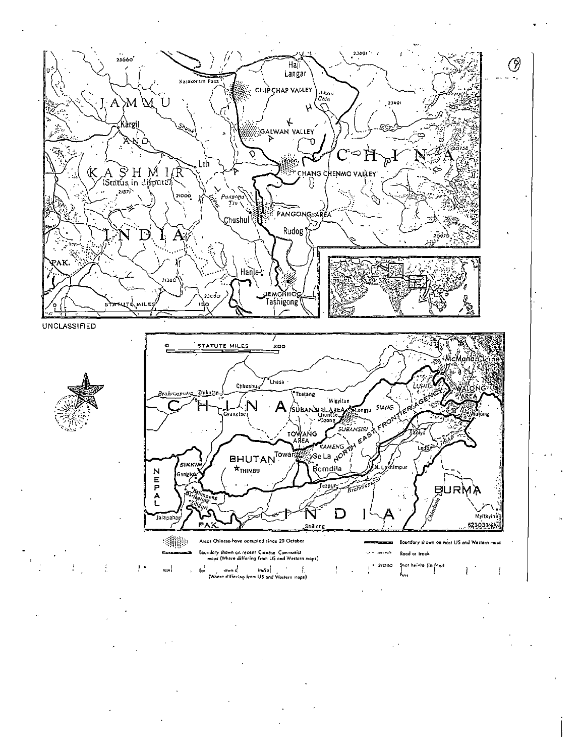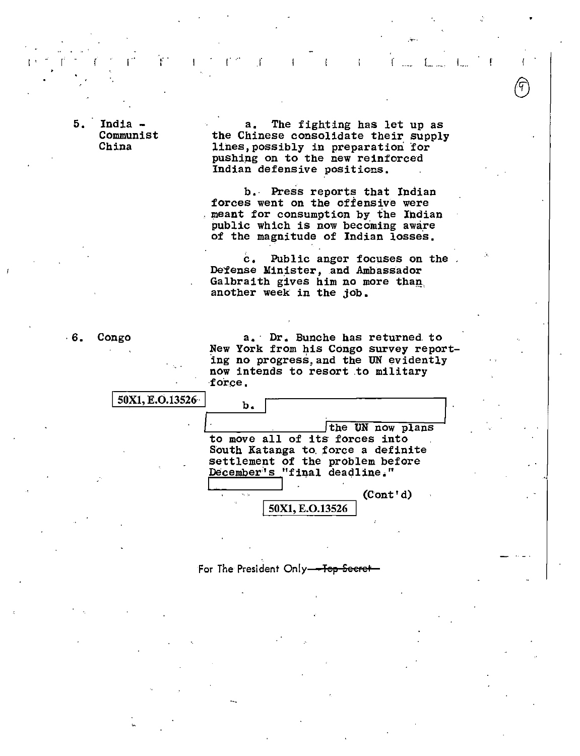5. India -Communist China

 $a_{\bullet}$ The fighting has let up as the Chinese consolidate their supply lines, possibly in preparation for pushing on to the new reinforced Indian defensive positions.

-1

Å.

-f

b. Press reports that Indian forces went on the offensive were meant for consumption by the Indian public which is now becoming aware of the magnitude of Indian losses.

Public anger focuses on the  $\mathbf{c}$ . Defense Minister, and Ambassador Galbraith gives him no more than another week in the job.

 $.6.$ Congo

50X1, E.O.13526

a. Dr. Bunche has returned to New York from his Congo survey reporting no progress, and the UN evidently now intends to resort to military force.

 $<sub>b</sub>$ .</sub> the UN now plans to move all of its forces into South Katanga to force a definite settlement of the problem before December's "final deadline."

> $(Cont'd)$ 50X1, E.O.13526

For The President Only-Top Secret-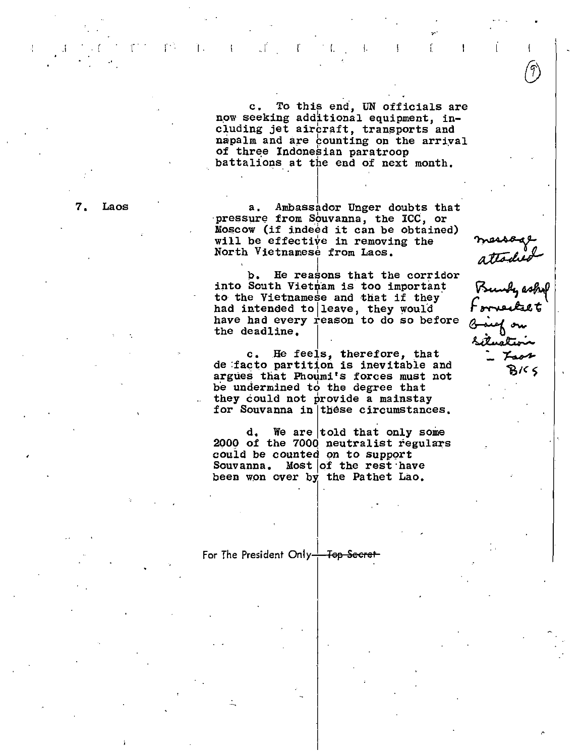c. To this end, UN officials are now seeking additional equipment, including jet aircraft, transports and napalm and are counting on the arrival of three Indonesian paratroop battalions at the end of next month.

.i. the interaction of  $\mathcal{I}^{\mathcal{A}}$  . In the interaction of  $\mathcal{I}^{\mathcal{A}}$  ,  $\mathcal{I}^{\mathcal{A}}$  ,  $\mathcal{I}^{\mathcal{A}}$  ,  $\mathcal{I}^{\mathcal{A}}$  ,  $\mathcal{I}^{\mathcal{A}}$  ,  $\mathcal{I}^{\mathcal{A}}$  ,  $\mathcal{I}^{\mathcal{A}}$  ,  $\mathcal{I}^{\mathcal{A}}$  ,  $\mathcal{I}^{\mathcal{A}}$ 

7. Laos a. Ambassador Unger doubts that pressure from Souvanna, the ICC, or Moscow (if indeed it can be obtained) will be effective in removing the North Vietnamese from Laos.

> ) b. He reasons that the corridor into South Vietnam is too important to the Vietnamese and that if they· had intended to leave, they would have had every reason to do so before the deadline.

c. He feels, therefore, that de :facto partition is inevitable and argues that Phoumi's forces must not be undermined to the degree that they could not provide a mainstay for Souvanna in these circumstances.

 $d.$  We are told that only some 2000 of the 7000 neutralist regulars couid be counted on to support Souvanna. Most lof the rest·have been won over by the Pathet Lao.

For The President Only ) **Tep Seeret** 

attached<br>Bundy eshif<br>Forvecket

Loor ष्ठ १८ ५

 $\mathbf{L}$ 

Ţ

.•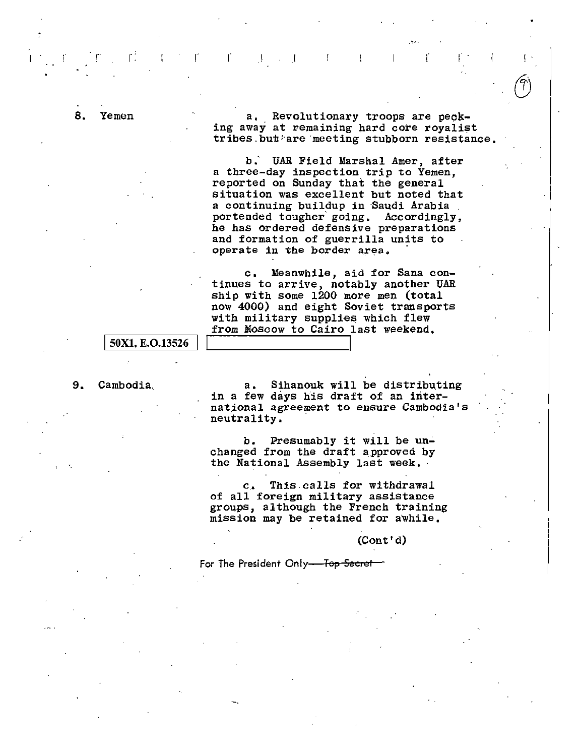8. Yemen a, Revolutionary troops are pecking away at remaining hard core royalist tribes. but are meeting stubborn resistance.  $\cup$ 

b; UAR Field Marshal Amer, after a three-day inspection trip to Yemen, reported on Sunday that the general situation was excellent but noted that a continuing buildup in Saudi Arabia portended tougher' going. Accordingly, he has ordered defensive preparations and formation of guerrilla units to operate in the border area.

 $\Gamma$ ,  $\Gamma$  ,  $\Gamma$  ,  $\Gamma$  ,  $\Gamma$  ,  $\Gamma$  ,  $\Gamma$  ,  $\Gamma$ 

c. Meanwhile, aid for Sana continues to arrive, notably another UAR ship with some 1200 more men (total now 4000) and eight Soviet transports with military supplies which flew from Moscow to Cairo last weekend.

#### 50X1, E.O.13526

9. Cambodia, a. Sihanouk will be distributing in a few days his draft of an international agreement to ensure Cambodia's neutrality.

> b. Presumably it will be unchanged from the draft a\_pproved by the National Assembly last week. ·

c.. This.calls for withdrawal of all foreign military assistance groups, although the French training mission may be retained for awhile.

(Cont'd)

For The President Only-Tep Secret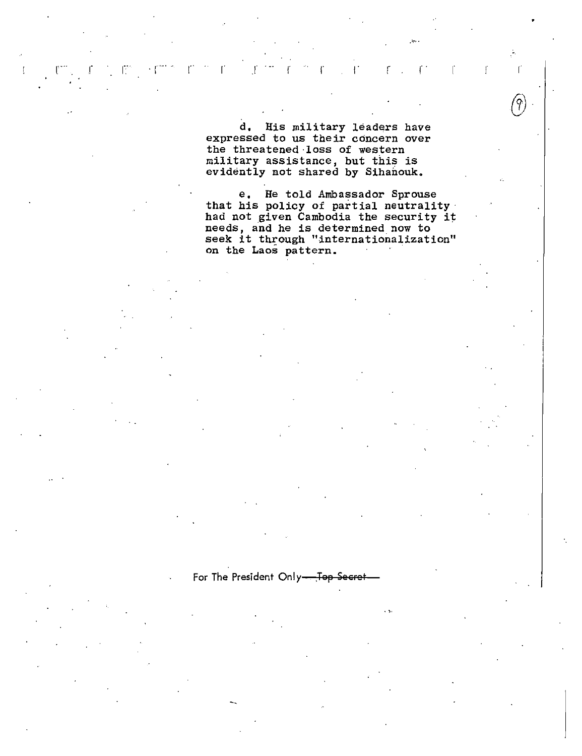d. His military leaders have expressed to us their concern over the threatened loss of western military assistance, but this is<br>evidently not shared by Sihanouk.

T.

 $\mathcal{L}$ 

 $\mathbf{f}$ 

Æ

 $\mathcal{A}^{\mathcal{A}}$ 

r

 $\mathbf{r}$ 

 $\mathbf{f}$ 

-ť

9

e. He told Ambassador Sprouse that his policy of partial neutrality<br>had not given Cambodia the security it needs, and he is determined now to seek it through "internationalization" on the Laos pattern.

For The President Only-Top Secret-